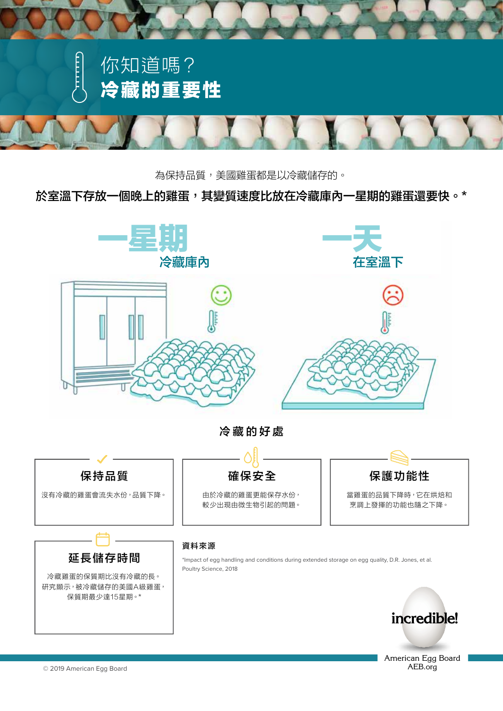

## 為保持品質,美國雞蛋都是以冷藏儲存的。

**AT ROOM TEMPERATURE, AN EGG DETERIORATES MORE OVERNIGHT**  於室溫下存放一個晚上的雞蛋,其變質速度比放在冷藏庫內一星期的雞蛋還要快。\*



American Egg Board AEB.org